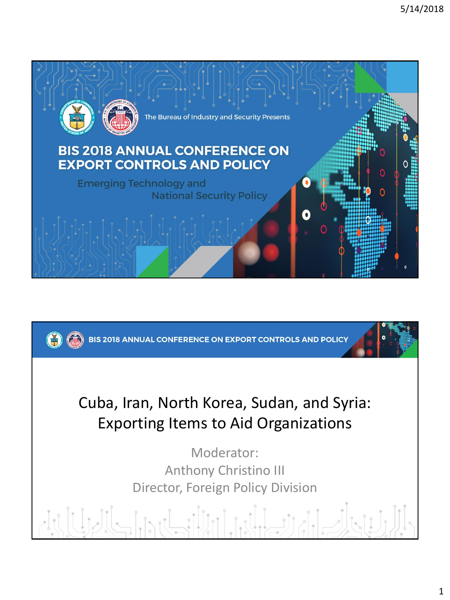

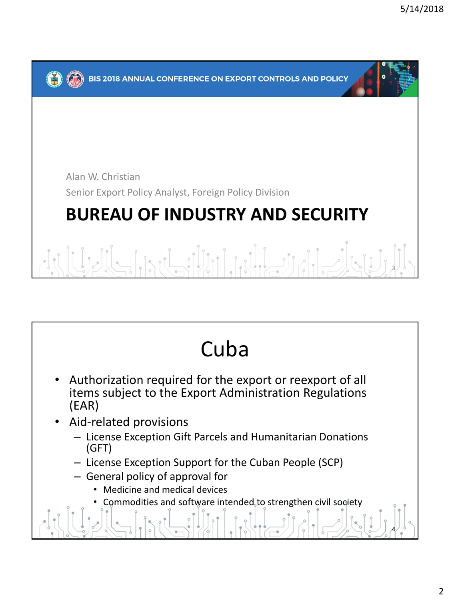

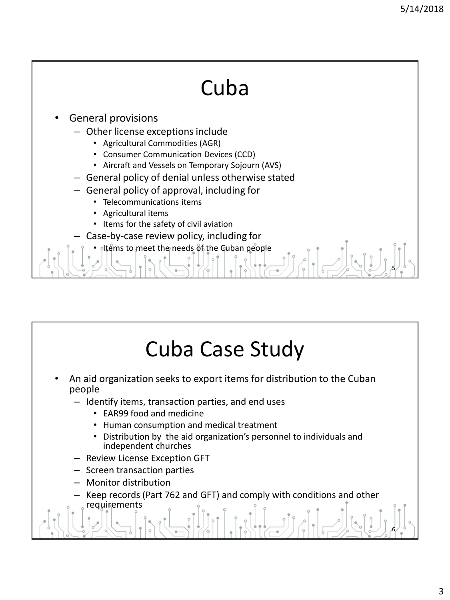5

# Cuba

- General provisions
	- Other license exceptions include
		- Agricultural Commodities (AGR)
		- Consumer Communication Devices (CCD)
		- Aircraft and Vessels on Temporary Sojourn (AVS)
	- General policy of denial unless otherwise stated
	- General policy of approval, including for
		- Telecommunications items
		- Agricultural items
		- Items for the safety of civil aviation
		- Case-by-case review policy, including for
			- Items to meet the needs of the Cuban people

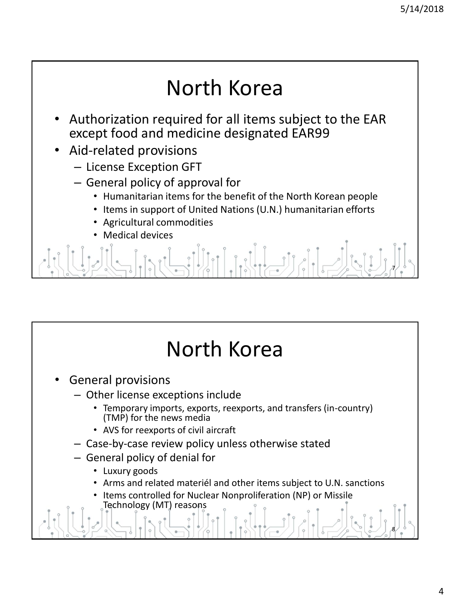## North Korea

- Authorization required for all items subject to the EAR except food and medicine designated EAR99
- Aid-related provisions
	- License Exception GFT
	- General policy of approval for
		- Humanitarian items for the benefit of the North Korean people
		- Items in support of United Nations (U.N.) humanitarian efforts
		- Agricultural commodities
		- **Medical devices**

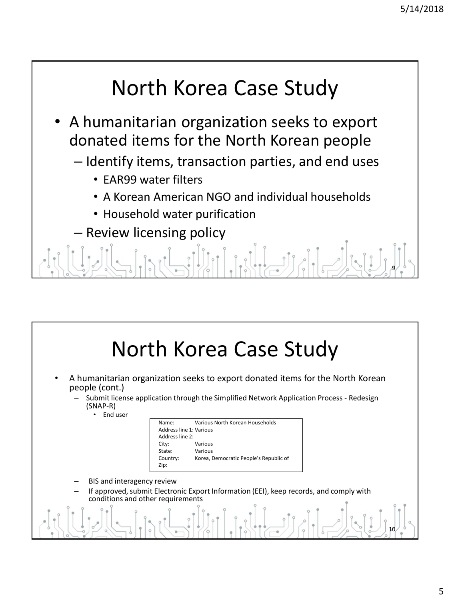#### North Korea Case Study

- A humanitarian organization seeks to export donated items for the North Korean people
	- Identify items, transaction parties, and end uses
		- EAR99 water filters
		- A Korean American NGO and individual households
		- Household water purification
		- Review licensing policy



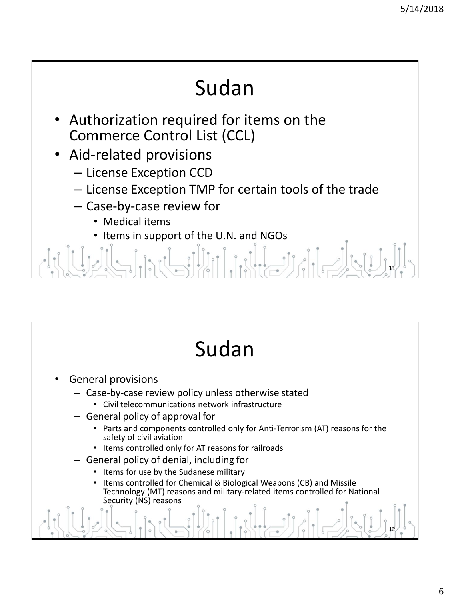# Sudan

- Authorization required for items on the Commerce Control List (CCL)
- Aid-related provisions
	- License Exception CCD
	- License Exception TMP for certain tools of the trade
	- Case-by-case review for
		- Medical items
		- Items in support of the U.N. and NGOs

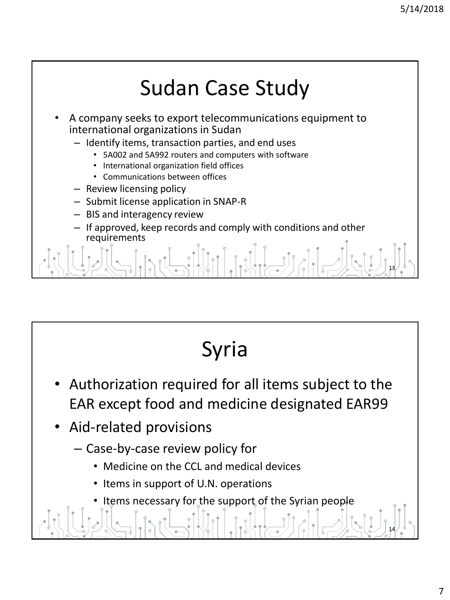



- Authorization required for all items subject to the EAR except food and medicine designated EAR99
- Aid-related provisions
	- Case-by-case review policy for
		- Medicine on the CCL and medical devices
		- Items in support of U.N. operations
		- Items necessary for the support of the Syrian people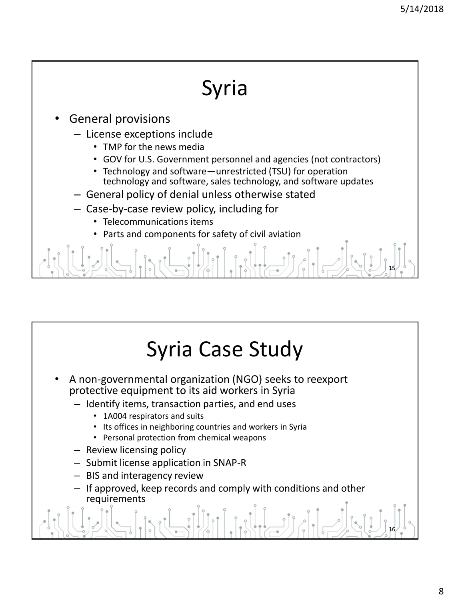## Syria

- General provisions
	- License exceptions include
		- TMP for the news media
		- GOV for U.S. Government personnel and agencies (not contractors)
		- Technology and software—unrestricted (TSU) for operation technology and software, sales technology, and software updates
	- General policy of denial unless otherwise stated
	- Case-by-case review policy, including for
		- Telecommunications items
		- Parts and components for safety of civil aviation

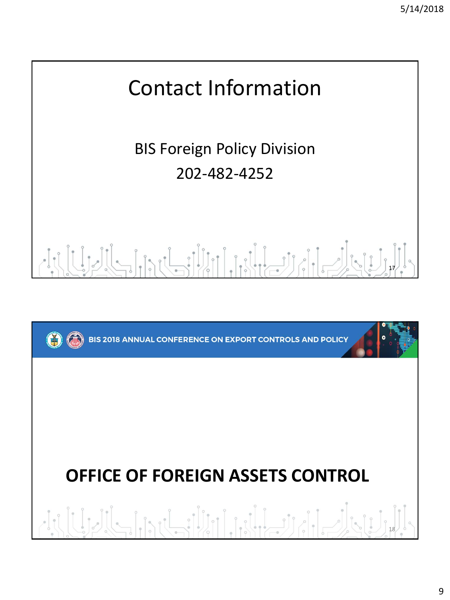

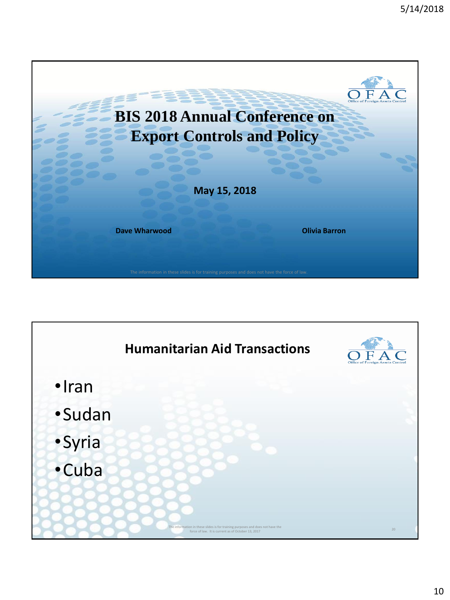

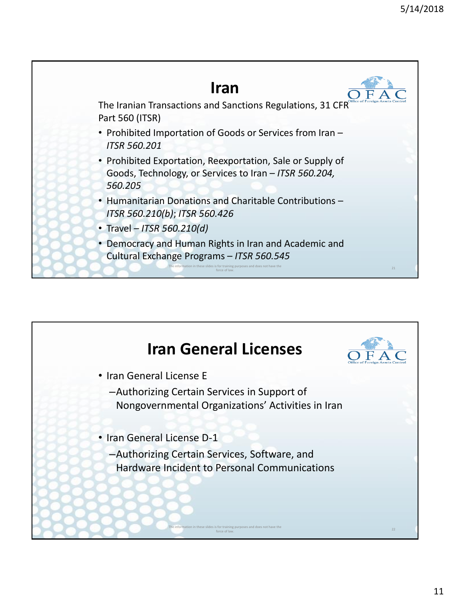

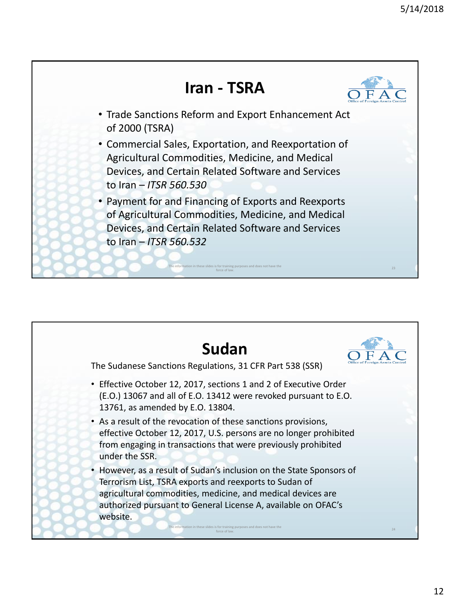

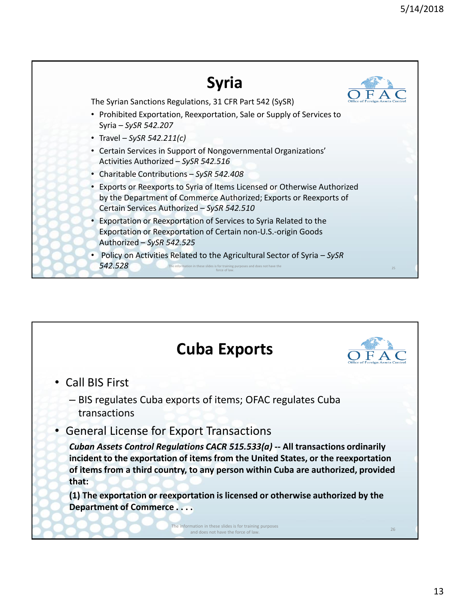

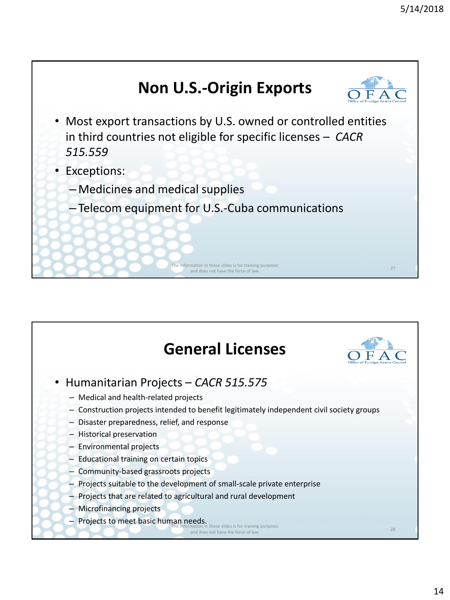

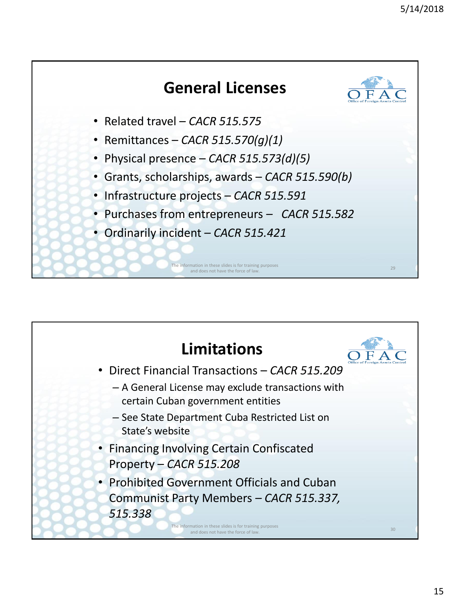

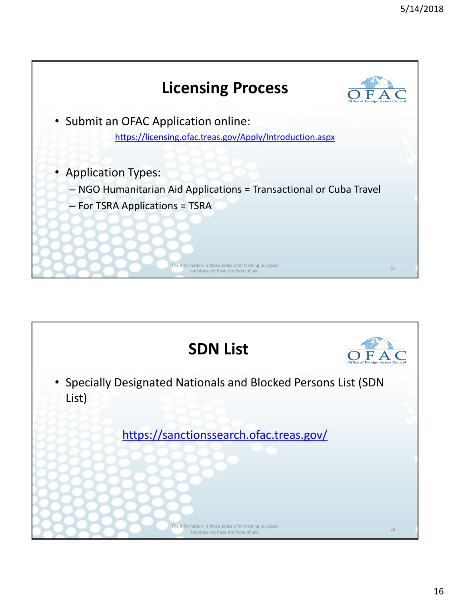